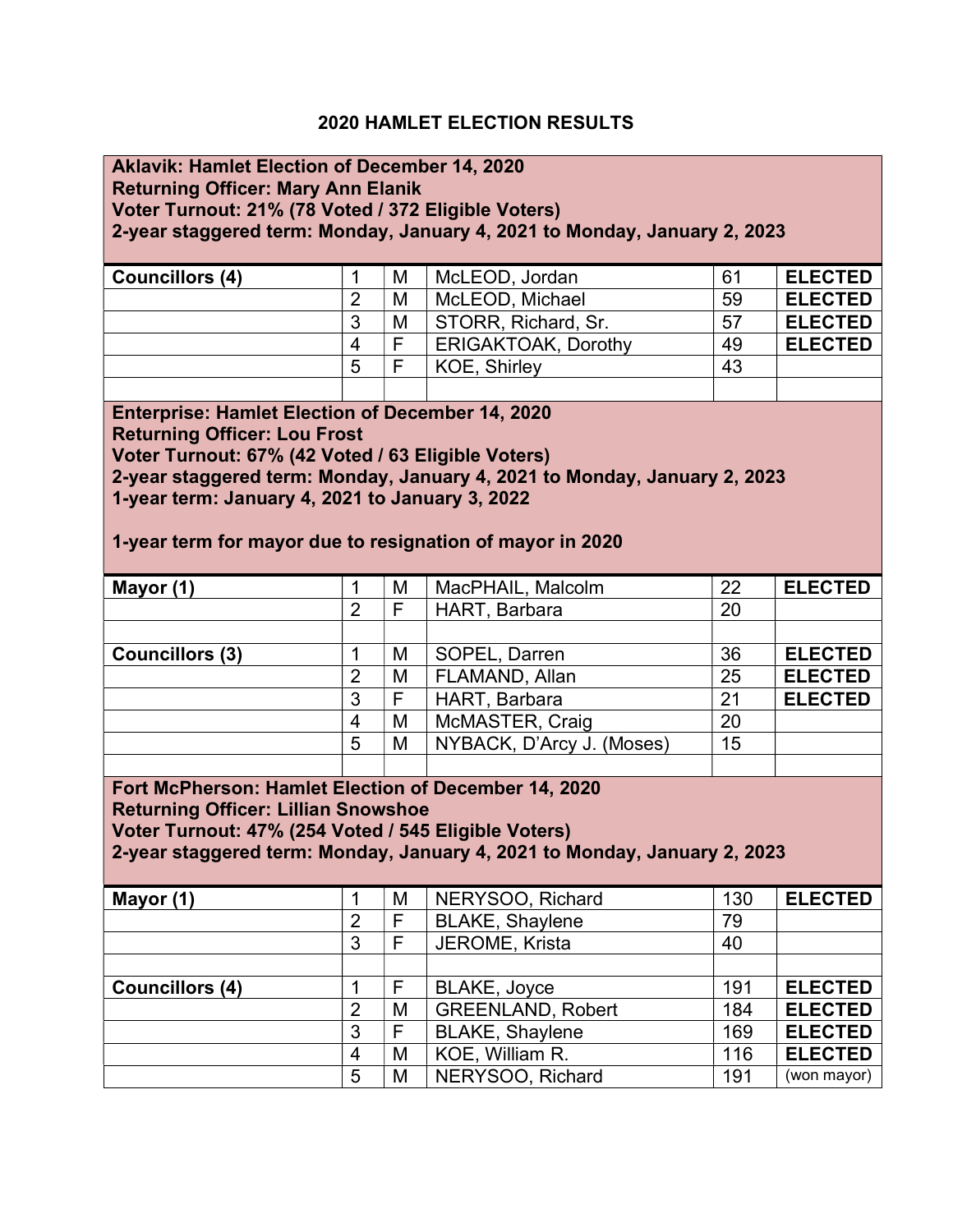### 2020 HAMLET ELECTION RESULTS

### Aklavik: Hamlet Election of December 14, 2020

Returning Officer: Mary Ann Elanik

Voter Turnout: 21% (78 Voted / 372 Eligible Voters)

2-year staggered term: Monday, January 4, 2021 to Monday, January 2, 2023

| <b>Councillors (4)</b> |   | M | McLEOD, Jordan             | 61 | <b>ELECTED</b> |
|------------------------|---|---|----------------------------|----|----------------|
|                        |   | M | McLEOD, Michael            | 59 | <b>ELECTED</b> |
|                        | 3 | M | STORR, Richard, Sr.        | 57 | <b>ELECTED</b> |
|                        | 4 | F | <b>ERIGAKTOAK, Dorothy</b> | 49 | <b>ELECTED</b> |
|                        | 5 | F | <b>KOE. Shirley</b>        | 43 |                |
|                        |   |   |                            |    |                |

Enterprise: Hamlet Election of December 14, 2020 Returning Officer: Lou Frost Voter Turnout: 67% (42 Voted / 63 Eligible Voters) 2-year staggered term: Monday, January 4, 2021 to Monday, January 2, 2023

1-year term: January 4, 2021 to January 3, 2022

1-year term for mayor due to resignation of mayor in 2020

| Mayor (1)              |   | M | MacPHAIL, Malcolm         | 22 | <b>ELECTED</b> |
|------------------------|---|---|---------------------------|----|----------------|
|                        | 2 |   | HART, Barbara             | 20 |                |
|                        |   |   |                           |    |                |
| <b>Councillors (3)</b> |   | M | SOPEL, Darren             | 36 | <b>ELECTED</b> |
|                        | 2 | M | FLAMAND, Allan            | 25 | <b>ELECTED</b> |
|                        | 3 |   | HART, Barbara             | 21 | <b>ELECTED</b> |
|                        | 4 | M | McMASTER, Craig           | 20 |                |
|                        | 5 | M | NYBACK, D'Arcy J. (Moses) | 15 |                |
|                        |   |   |                           |    |                |

Fort McPherson: Hamlet Election of December 14, 2020 Returning Officer: Lillian Snowshoe

Voter Turnout: 47% (254 Voted / 545 Eligible Voters)

2-year staggered term: Monday, January 4, 2021 to Monday, January 2, 2023

| Mayor (1)              |   | M | NERYSOO, Richard         | 130 | <b>ELECTED</b> |
|------------------------|---|---|--------------------------|-----|----------------|
|                        | 2 |   | <b>BLAKE, Shaylene</b>   | 79  |                |
|                        | 3 | F | JEROME, Krista           | 40  |                |
|                        |   |   |                          |     |                |
| <b>Councillors (4)</b> |   | F | BLAKE, Joyce             | 191 | <b>ELECTED</b> |
|                        | 2 | M | <b>GREENLAND, Robert</b> | 184 | <b>ELECTED</b> |
|                        | 3 | F | <b>BLAKE, Shaylene</b>   | 169 | <b>ELECTED</b> |
|                        | 4 | M | KOE, William R.          | 116 | <b>ELECTED</b> |
|                        | 5 | M | NERYSOO, Richard         | 191 | (won mayor)    |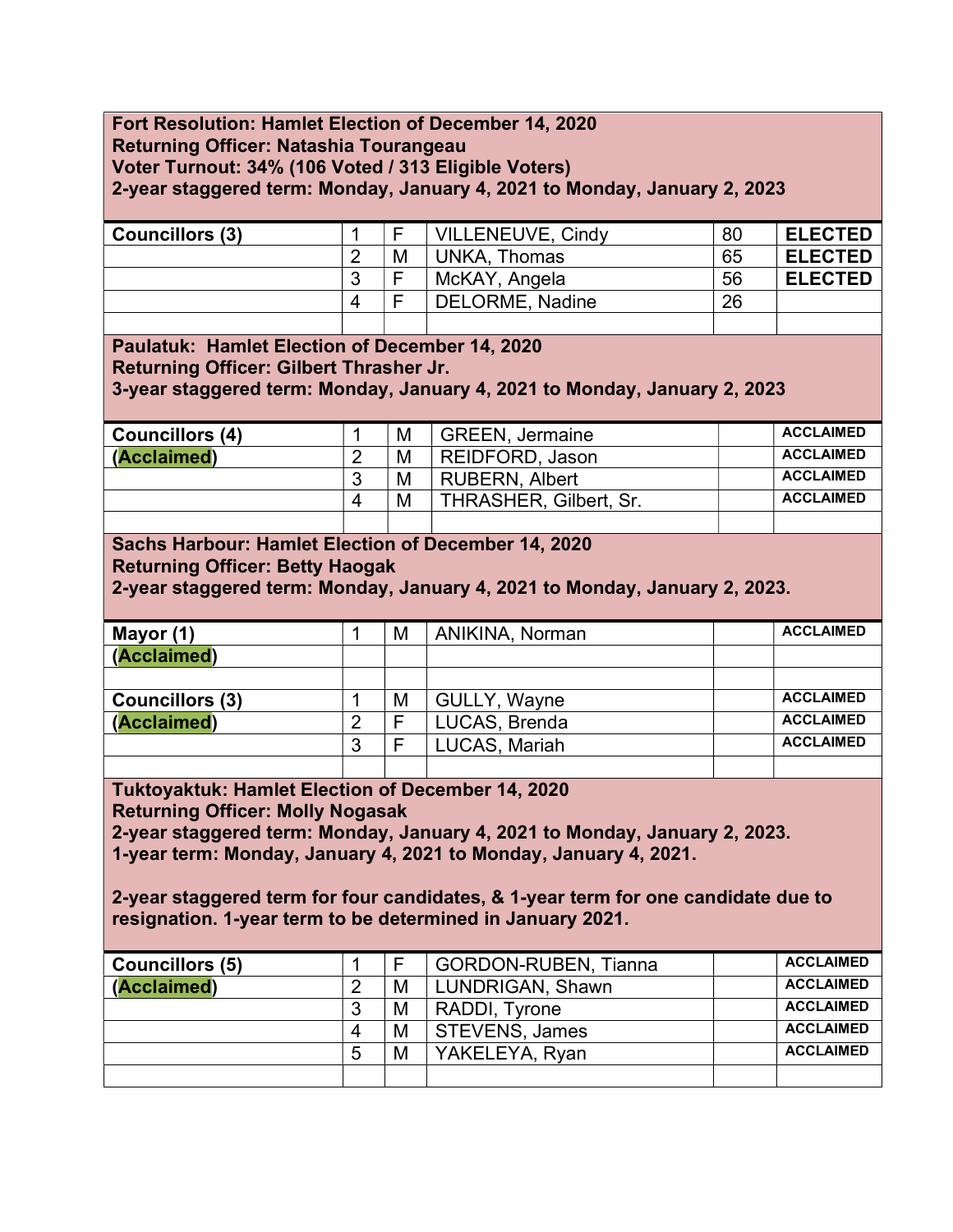### Fort Resolution: Hamlet Election of December 14, 2020 Returning Officer: Natashia Tourangeau Voter Turnout: 34% (106 Voted / 313 Eligible Voters) 2-year staggered term: Monday, January 4, 2021 to Monday, January 2, 2023

| <b>Councillors (3)</b> |   | ⊏ | VILLENEUVE, Cindy | 80 | <b>ELECTED</b> |
|------------------------|---|---|-------------------|----|----------------|
|                        | ⌒ | M | UNKA. Thomas      | 65 | <b>ELECTED</b> |
|                        | 3 | F | McKAY, Angela     | 56 | <b>ELECTED</b> |
|                        | Δ | - | DELORME, Nadine   | 26 |                |
|                        |   |   |                   |    |                |

Paulatuk: Hamlet Election of December 14, 2020 Returning Officer: Gilbert Thrasher Jr. 3-year staggered term: Monday, January 4, 2021 to Monday, January 2, 2023

| <b>Councillors (4)</b> |          | M | <b>GREEN, Jermaine</b>        | <b>ACCLAIMED</b> |
|------------------------|----------|---|-------------------------------|------------------|
| (Acclaimed)            |          | M | REIDFORD, Jason               | <b>ACCLAIMED</b> |
|                        | 3        | M | <b>RUBERN, Albert</b>         | <b>ACCLAIMED</b> |
|                        | $\Delta$ | M | <b>THRASHER, Gilbert, Sr.</b> | <b>ACCLAIMED</b> |

# Sachs Harbour: Hamlet Election of December 14, 2020

Returning Officer: Betty Haogak

2-year staggered term: Monday, January 4, 2021 to Monday, January 2, 2023.

| Mayor (1)              |        | M | ANIKINA, Norman     | <b>ACCLAIMED</b> |
|------------------------|--------|---|---------------------|------------------|
| (Acclaimed)            |        |   |                     |                  |
|                        |        |   |                     |                  |
| <b>Councillors (3)</b> |        | M | <b>GULLY, Wayne</b> | <b>ACCLAIMED</b> |
| (Acclaimed)            |        |   | LUCAS, Brenda       | <b>ACCLAIMED</b> |
|                        | ◠<br>J |   | LUCAS, Mariah       | <b>ACCLAIMED</b> |
|                        |        |   |                     |                  |

Tuktoyaktuk: Hamlet Election of December 14, 2020

Returning Officer: Molly Nogasak

2-year staggered term: Monday, January 4, 2021 to Monday, January 2, 2023.

1-year term: Monday, January 4, 2021 to Monday, January 4, 2021.

2-year staggered term for four candidates, & 1-year term for one candidate due to resignation. 1-year term to be determined in January 2021.

| <b>Councillors (5)</b> |   | Е | <b>GORDON-RUBEN, Tianna</b> | <b>ACCLAIMED</b> |
|------------------------|---|---|-----------------------------|------------------|
| (Acclaimed)            |   | M | LUNDRIGAN, Shawn            | <b>ACCLAIMED</b> |
|                        | 3 | M | RADDI, Tyrone               | <b>ACCLAIMED</b> |
|                        | 4 | M | <b>STEVENS, James</b>       | <b>ACCLAIMED</b> |
|                        | 5 | M | YAKELEYA, Ryan              | <b>ACCLAIMED</b> |
|                        |   |   |                             |                  |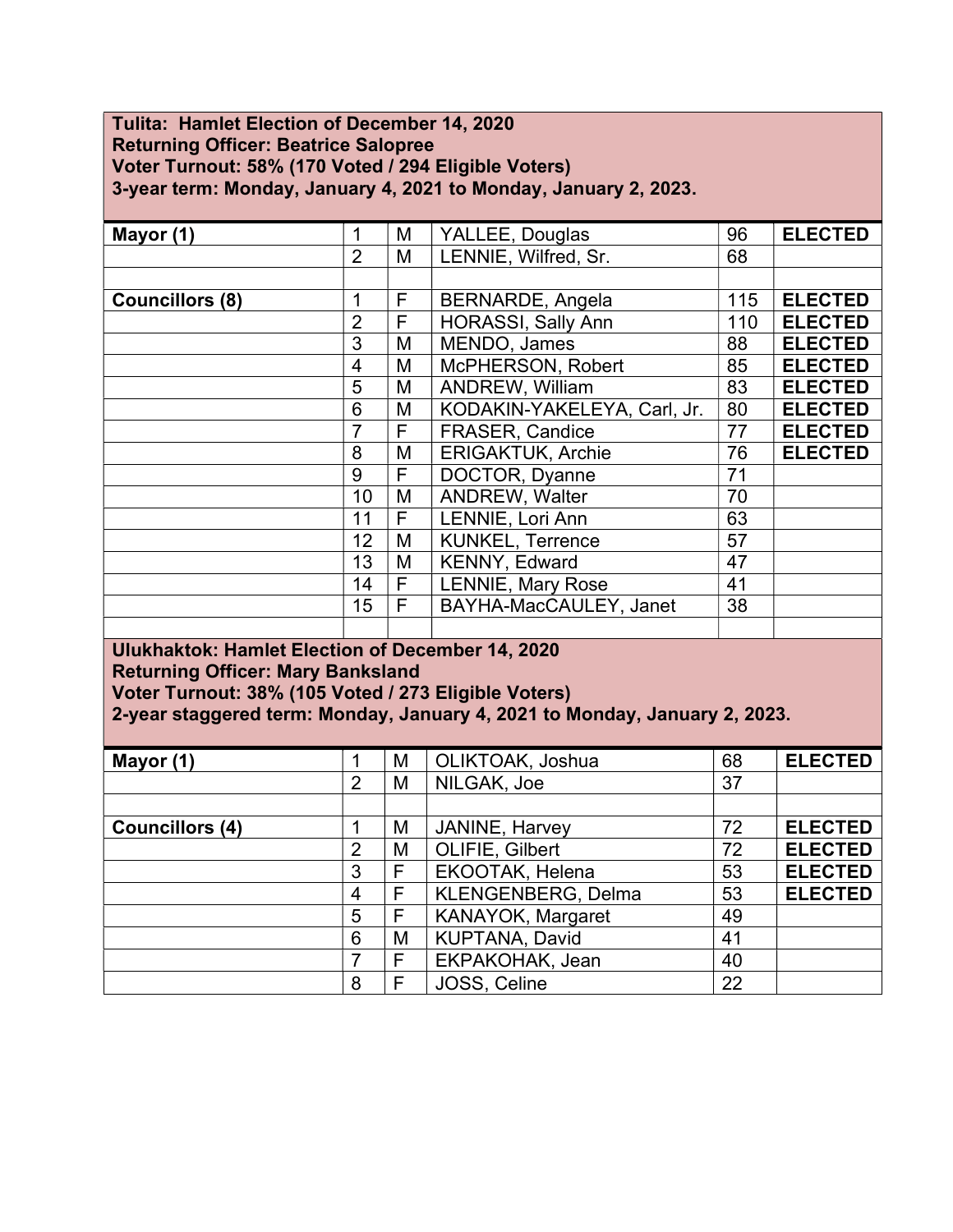### Tulita: Hamlet Election of December 14, 2020 Returning Officer: Beatrice Salopree Voter Turnout: 58% (170 Voted / 294 Eligible Voters) 3-year term: Monday, January 4, 2021 to Monday, January 2, 2023.

| Mayor (1)                          | 1              | M | YALLEE, Douglas             | 96  | <b>ELECTED</b> |  |  |  |  |  |  |  |
|------------------------------------|----------------|---|-----------------------------|-----|----------------|--|--|--|--|--|--|--|
|                                    | $\overline{2}$ | M | LENNIE, Wilfred, Sr.        | 68  |                |  |  |  |  |  |  |  |
|                                    |                |   |                             |     |                |  |  |  |  |  |  |  |
| <b>Councillors (8)</b>             | 1              | F | <b>BERNARDE, Angela</b>     | 115 | <b>ELECTED</b> |  |  |  |  |  |  |  |
|                                    | $\overline{2}$ | F | <b>HORASSI, Sally Ann</b>   | 110 | <b>ELECTED</b> |  |  |  |  |  |  |  |
|                                    | 3              | M | MENDO, James                | 88  | <b>ELECTED</b> |  |  |  |  |  |  |  |
|                                    | 4              | M | McPHERSON, Robert           | 85  | <b>ELECTED</b> |  |  |  |  |  |  |  |
|                                    | 5              | M | <b>ANDREW, William</b>      | 83  | <b>ELECTED</b> |  |  |  |  |  |  |  |
|                                    | 6              | M | KODAKIN-YAKELEYA, Carl, Jr. | 80  | <b>ELECTED</b> |  |  |  |  |  |  |  |
|                                    | $\overline{7}$ | F | <b>FRASER, Candice</b>      | 77  | <b>ELECTED</b> |  |  |  |  |  |  |  |
|                                    | 8              | M | <b>ERIGAKTUK, Archie</b>    | 76  | <b>ELECTED</b> |  |  |  |  |  |  |  |
|                                    | 9              | F | DOCTOR, Dyanne              | 71  |                |  |  |  |  |  |  |  |
|                                    | 10             | M | <b>ANDREW, Walter</b>       | 70  |                |  |  |  |  |  |  |  |
|                                    | 11             | F | LENNIE, Lori Ann            | 63  |                |  |  |  |  |  |  |  |
|                                    | 12             | M | <b>KUNKEL, Terrence</b>     | 57  |                |  |  |  |  |  |  |  |
|                                    | 13             | M | KENNY, Edward               | 47  |                |  |  |  |  |  |  |  |
|                                    | 14             | F | LENNIE, Mary Rose           | 41  |                |  |  |  |  |  |  |  |
|                                    | 15             | F | BAYHA-MacCAULEY, Janet      | 38  |                |  |  |  |  |  |  |  |
|                                    |                |   |                             |     |                |  |  |  |  |  |  |  |
| illedakelatelar Hemalet Elentinu e |                |   |                             |     | 102224         |  |  |  |  |  |  |  |

#### Ulukhaktok: Hamlet Election of December 14, 2020 Returning Officer: Mary Banksland Voter Turnout: 38% (105 Voted / 273 Eligible Voters)

2-year staggered term: Monday, January 4, 2021 to Monday, January 2, 2023.

| Mayor (1)              |   | M | OLIKTOAK, Joshua         | 68 | <b>ELECTED</b> |
|------------------------|---|---|--------------------------|----|----------------|
|                        | 2 | M | NILGAK, Joe              | 37 |                |
|                        |   |   |                          |    |                |
| <b>Councillors (4)</b> |   | M | JANINE, Harvey           | 72 | <b>ELECTED</b> |
|                        | 2 | M | OLIFIE, Gilbert          | 72 | <b>ELECTED</b> |
|                        | 3 | F | EKOOTAK, Helena          | 53 | <b>ELECTED</b> |
|                        | 4 | F | KLENGENBERG, Delma       | 53 | <b>ELECTED</b> |
|                        | 5 | F | <b>KANAYOK, Margaret</b> | 49 |                |
|                        | 6 | M | KUPTANA, David           | 41 |                |
|                        | 7 | F | EKPAKOHAK, Jean          | 40 |                |
|                        | 8 | F | JOSS, Celine             | 22 |                |